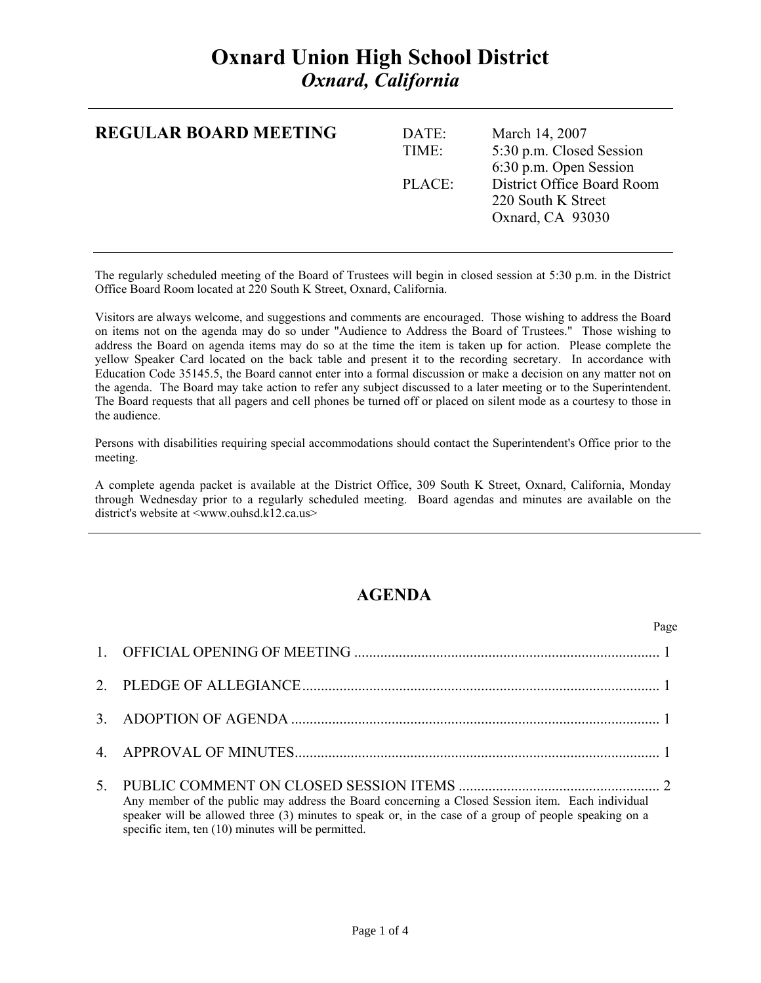## **Oxnard Union High School District**  *Oxnard, California*

| <b>REGULAR BOARD MEETING</b> | DATE:<br>TIME: | March 14, 2007<br>5:30 p.m. Closed Session<br>6:30 p.m. Open Session |
|------------------------------|----------------|----------------------------------------------------------------------|
|                              | PLACE:         | District Office Board Room<br>220 South K Street<br>Oxnard, CA 93030 |

The regularly scheduled meeting of the Board of Trustees will begin in closed session at 5:30 p.m. in the District Office Board Room located at 220 South K Street, Oxnard, California.

Visitors are always welcome, and suggestions and comments are encouraged. Those wishing to address the Board on items not on the agenda may do so under "Audience to Address the Board of Trustees." Those wishing to address the Board on agenda items may do so at the time the item is taken up for action. Please complete the yellow Speaker Card located on the back table and present it to the recording secretary. In accordance with Education Code 35145.5, the Board cannot enter into a formal discussion or make a decision on any matter not on the agenda. The Board may take action to refer any subject discussed to a later meeting or to the Superintendent. The Board requests that all pagers and cell phones be turned off or placed on silent mode as a courtesy to those in the audience.

Persons with disabilities requiring special accommodations should contact the Superintendent's Office prior to the meeting.

A complete agenda packet is available at the District Office, 309 South K Street, Oxnard, California, Monday through Wednesday prior to a regularly scheduled meeting. Board agendas and minutes are available on the district's website at <www.ouhsd.k12.ca.us>

## **AGENDA**

|                                                                                                                                                                                                                                                                 | Page |
|-----------------------------------------------------------------------------------------------------------------------------------------------------------------------------------------------------------------------------------------------------------------|------|
|                                                                                                                                                                                                                                                                 |      |
|                                                                                                                                                                                                                                                                 |      |
|                                                                                                                                                                                                                                                                 |      |
|                                                                                                                                                                                                                                                                 |      |
| Any member of the public may address the Board concerning a Closed Session item. Each individual<br>speaker will be allowed three (3) minutes to speak or, in the case of a group of people speaking on a<br>specific item, ten (10) minutes will be permitted. |      |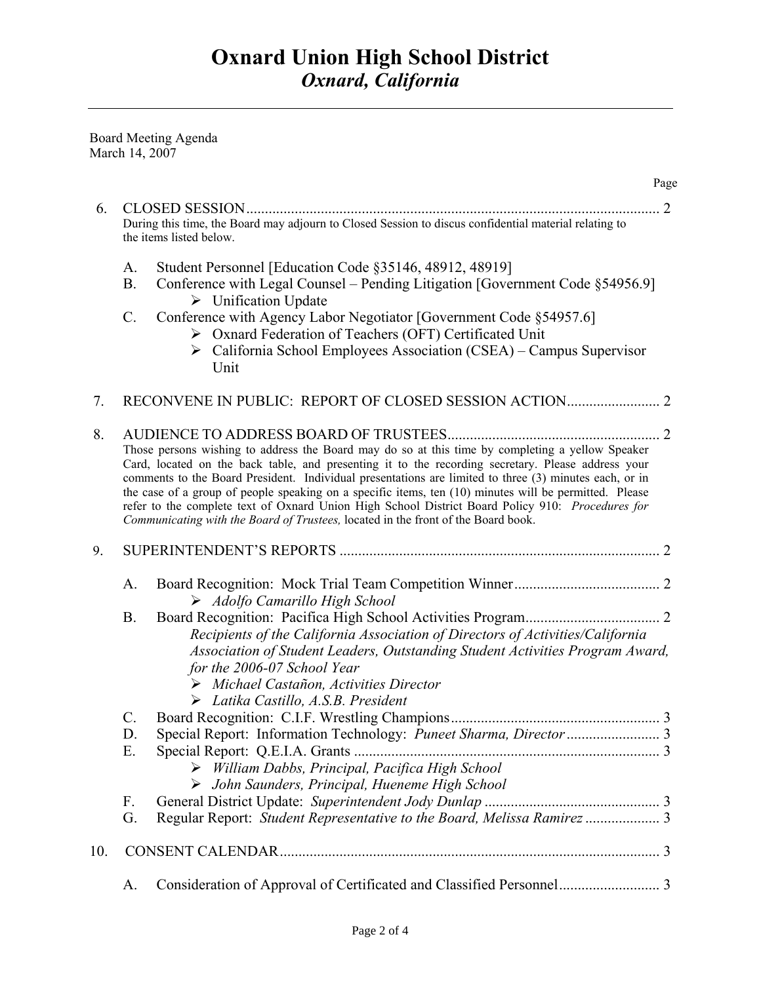Board Meeting Agenda March 14, 2007

|     |                                                                                                                                                                                                                                                                                                                                                                                                                                                                                                                                                                                                                     |                                                                                                                                                                                                                                                                                                                | Page |
|-----|---------------------------------------------------------------------------------------------------------------------------------------------------------------------------------------------------------------------------------------------------------------------------------------------------------------------------------------------------------------------------------------------------------------------------------------------------------------------------------------------------------------------------------------------------------------------------------------------------------------------|----------------------------------------------------------------------------------------------------------------------------------------------------------------------------------------------------------------------------------------------------------------------------------------------------------------|------|
| 6.  |                                                                                                                                                                                                                                                                                                                                                                                                                                                                                                                                                                                                                     |                                                                                                                                                                                                                                                                                                                |      |
|     |                                                                                                                                                                                                                                                                                                                                                                                                                                                                                                                                                                                                                     | During this time, the Board may adjourn to Closed Session to discus confidential material relating to<br>the items listed below.                                                                                                                                                                               |      |
|     | A.<br><b>B.</b>                                                                                                                                                                                                                                                                                                                                                                                                                                                                                                                                                                                                     | Student Personnel [Education Code §35146, 48912, 48919]<br>Conference with Legal Counsel – Pending Litigation [Government Code §54956.9]<br>$\triangleright$ Unification Update                                                                                                                                |      |
|     | $C$ .                                                                                                                                                                                                                                                                                                                                                                                                                                                                                                                                                                                                               | Conference with Agency Labor Negotiator [Government Code §54957.6]<br>> Oxnard Federation of Teachers (OFT) Certificated Unit<br>$\triangleright$ California School Employees Association (CSEA) – Campus Supervisor<br>Unit                                                                                   |      |
| 7.  |                                                                                                                                                                                                                                                                                                                                                                                                                                                                                                                                                                                                                     |                                                                                                                                                                                                                                                                                                                |      |
| 8.  | Those persons wishing to address the Board may do so at this time by completing a yellow Speaker<br>Card, located on the back table, and presenting it to the recording secretary. Please address your<br>comments to the Board President. Individual presentations are limited to three (3) minutes each, or in<br>the case of a group of people speaking on a specific items, ten (10) minutes will be permitted. Please<br>refer to the complete text of Oxnard Union High School District Board Policy 910: Procedures for<br>Communicating with the Board of Trustees, located in the front of the Board book. |                                                                                                                                                                                                                                                                                                                |      |
| 9.  |                                                                                                                                                                                                                                                                                                                                                                                                                                                                                                                                                                                                                     |                                                                                                                                                                                                                                                                                                                |      |
|     | A.                                                                                                                                                                                                                                                                                                                                                                                                                                                                                                                                                                                                                  | $\triangleright$ Adolfo Camarillo High School                                                                                                                                                                                                                                                                  |      |
|     | <b>B.</b>                                                                                                                                                                                                                                                                                                                                                                                                                                                                                                                                                                                                           | Recipients of the California Association of Directors of Activities/California<br>Association of Student Leaders, Outstanding Student Activities Program Award,<br>for the 2006-07 School Year<br>$\triangleright$ Michael Castañon, Activities Director<br>$\triangleright$ Latika Castillo, A.S.B. President |      |
|     | C.                                                                                                                                                                                                                                                                                                                                                                                                                                                                                                                                                                                                                  |                                                                                                                                                                                                                                                                                                                |      |
|     | D.                                                                                                                                                                                                                                                                                                                                                                                                                                                                                                                                                                                                                  |                                                                                                                                                                                                                                                                                                                |      |
|     | Е.                                                                                                                                                                                                                                                                                                                                                                                                                                                                                                                                                                                                                  | $\triangleright$ William Dabbs, Principal, Pacifica High School<br>$\triangleright$ John Saunders, Principal, Hueneme High School                                                                                                                                                                              |      |
|     | $F_{\cdot}$                                                                                                                                                                                                                                                                                                                                                                                                                                                                                                                                                                                                         |                                                                                                                                                                                                                                                                                                                |      |
|     | G.                                                                                                                                                                                                                                                                                                                                                                                                                                                                                                                                                                                                                  | Regular Report: Student Representative to the Board, Melissa Ramirez  3                                                                                                                                                                                                                                        |      |
| 10. |                                                                                                                                                                                                                                                                                                                                                                                                                                                                                                                                                                                                                     |                                                                                                                                                                                                                                                                                                                |      |
|     | A.                                                                                                                                                                                                                                                                                                                                                                                                                                                                                                                                                                                                                  |                                                                                                                                                                                                                                                                                                                |      |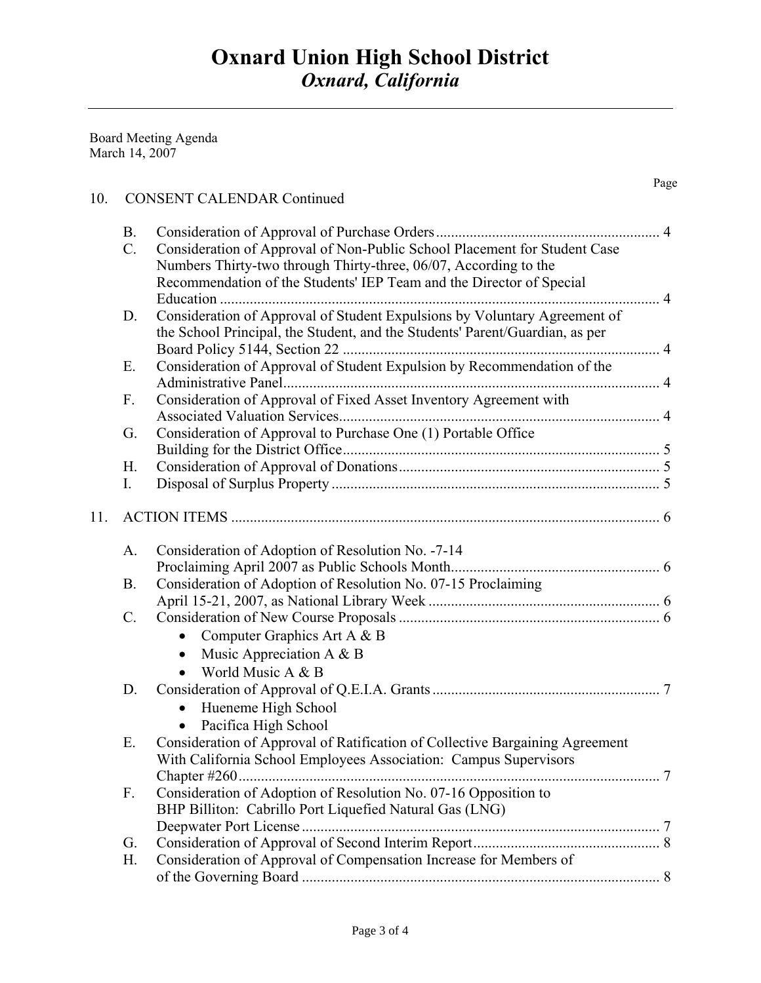Page **Page** 

Board Meeting Agenda March 14, 2007

## 10. CONSENT CALENDAR Continued

|     | <b>B.</b> |                                                                              |   |
|-----|-----------|------------------------------------------------------------------------------|---|
|     | $C$ .     | Consideration of Approval of Non-Public School Placement for Student Case    |   |
|     |           | Numbers Thirty-two through Thirty-three, 06/07, According to the             |   |
|     |           | Recommendation of the Students' IEP Team and the Director of Special         |   |
|     |           |                                                                              |   |
|     | D.        | Consideration of Approval of Student Expulsions by Voluntary Agreement of    |   |
|     |           | the School Principal, the Student, and the Students' Parent/Guardian, as per |   |
|     |           |                                                                              |   |
|     | Ε.        | Consideration of Approval of Student Expulsion by Recommendation of the      |   |
|     |           |                                                                              |   |
|     | F.        | Consideration of Approval of Fixed Asset Inventory Agreement with            |   |
|     |           |                                                                              |   |
|     | G.        | Consideration of Approval to Purchase One (1) Portable Office                |   |
|     |           |                                                                              |   |
|     | Η.        |                                                                              |   |
|     | I.        |                                                                              |   |
|     |           |                                                                              |   |
| 11. |           |                                                                              |   |
|     |           |                                                                              |   |
|     | A.        | Consideration of Adoption of Resolution No. -7-14                            |   |
|     |           |                                                                              |   |
|     | <b>B.</b> | Consideration of Adoption of Resolution No. 07-15 Proclaiming                |   |
|     |           |                                                                              |   |
|     | $C$ .     |                                                                              |   |
|     |           | Computer Graphics Art A & B<br>$\bullet$                                     |   |
|     |           | Music Appreciation A $\&$ B<br>$\bullet$                                     |   |
|     |           | World Music A & B                                                            |   |
|     | D.        |                                                                              |   |
|     |           | Hueneme High School                                                          |   |
|     |           | Pacifica High School<br>$\bullet$                                            |   |
|     | Ε.        | Consideration of Approval of Ratification of Collective Bargaining Agreement |   |
|     |           | With California School Employees Association: Campus Supervisors             |   |
|     |           | Chapter $\#260$                                                              | 7 |
|     | F.        | Consideration of Adoption of Resolution No. 07-16 Opposition to              |   |
|     |           | BHP Billiton: Cabrillo Port Liquefied Natural Gas (LNG)                      |   |
|     |           |                                                                              |   |
|     | G.        |                                                                              |   |
|     | Н.        | Consideration of Approval of Compensation Increase for Members of            |   |
|     |           |                                                                              |   |